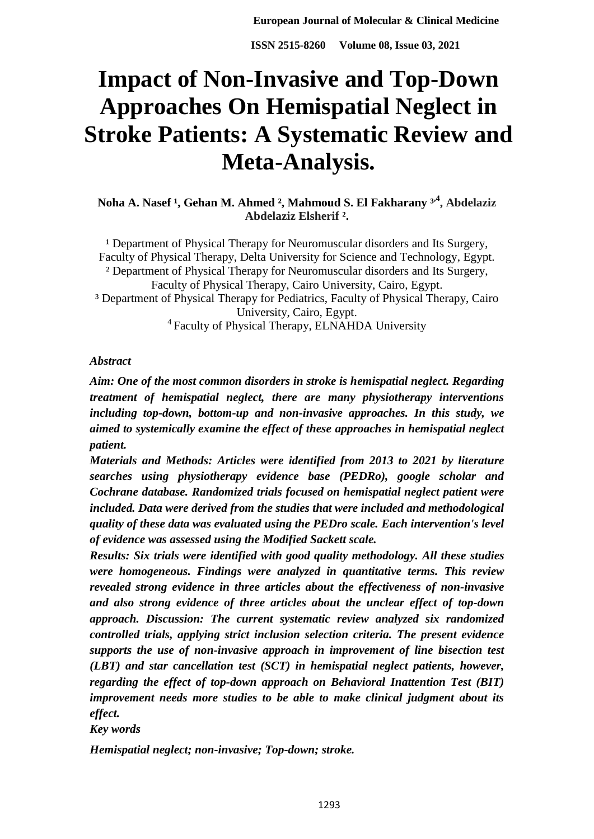# **Impact of Non-Invasive and Top-Down Approaches On Hemispatial Neglect in Stroke Patients: A Systematic Review and Meta-Analysis.**

**Noha A. Nasef<sup>1</sup>, Gehan M. Ahmed<sup>2</sup>, Mahmoud S. El Fakharany <sup>3<sup>,4</sup>, Abdelaziz**</sup> **Abdelaziz Elsherif ².**

<sup>1</sup> Department of Physical Therapy for Neuromuscular disorders and Its Surgery, Faculty of Physical Therapy, Delta University for Science and Technology, Egypt. ² Department of Physical Therapy for Neuromuscular disorders and Its Surgery, Faculty of Physical Therapy, Cairo University, Cairo, Egypt. ³ Department of Physical Therapy for Pediatrics, Faculty of Physical Therapy, Cairo University, Cairo, Egypt. <sup>4</sup> Faculty of Physical Therapy, ELNAHDA University

## *Abstract*

*Aim: One of the most common disorders in stroke is hemispatial neglect. Regarding treatment of hemispatial neglect, there are many physiotherapy interventions including top-down, bottom-up and non-invasive approaches. In this study, we aimed to systemically examine the effect of these approaches in hemispatial neglect patient.*

*Materials and Methods: Articles were identified from 2013 to 2021 by literature searches using physiotherapy evidence base (PEDRo), google scholar and Cochrane database. Randomized trials focused on hemispatial neglect patient were included. Data were derived from the studies that were included and methodological quality of these data was evaluated using the PEDro scale. Each intervention's level of evidence was assessed using the Modified Sackett scale.*

*Results: Six trials were identified with good quality methodology. All these studies were homogeneous. Findings were analyzed in quantitative terms. This review revealed strong evidence in three articles about the effectiveness of non-invasive and also strong evidence of three articles about the unclear effect of top-down approach. Discussion: The current systematic review analyzed six randomized controlled trials, applying strict inclusion selection criteria. The present evidence supports the use of non-invasive approach in improvement of line bisection test (LBT) and star cancellation test (SCT) in hemispatial neglect patients, however, regarding the effect of top-down approach on Behavioral Inattention Test (BIT) improvement needs more studies to be able to make clinical judgment about its effect.*

#### *Key words*

*Hemispatial neglect; non-invasive; Top-down; stroke.*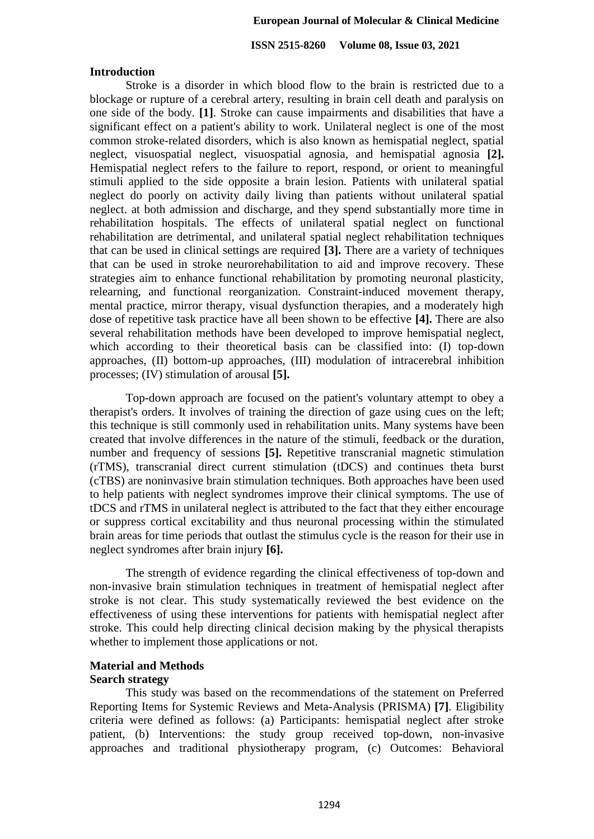**ISSN 2515-8260 Volume 08, Issue 03, 2021**

#### **Introduction**

Stroke is a disorder in which blood flow to the brain is restricted due to a blockage or rupture of a cerebral artery, resulting in brain cell death and paralysis on one side of the body. **[1]**. Stroke can cause impairments and disabilities that have a significant effect on a patient's ability to work. Unilateral neglect is one of the most common stroke-related disorders, which is also known as hemispatial neglect, spatial neglect, visuospatial neglect, visuospatial agnosia, and hemispatial agnosia **[2].** Hemispatial neglect refers to the failure to report, respond, or orient to meaningful stimuli applied to the side opposite a brain lesion. Patients with unilateral spatial neglect do poorly on activity daily living than patients without unilateral spatial neglect. at both admission and discharge, and they spend substantially more time in rehabilitation hospitals. The effects of unilateral spatial neglect on functional rehabilitation are detrimental, and unilateral spatial neglect rehabilitation techniques that can be used in clinical settings are required **[3].** There are a variety of techniques that can be used in stroke neurorehabilitation to aid and improve recovery. These strategies aim to enhance functional rehabilitation by promoting neuronal plasticity, relearning, and functional reorganization. Constraint-induced movement therapy, mental practice, mirror therapy, visual dysfunction therapies, and a moderately high dose of repetitive task practice have all been shown to be effective **[4].** There are also several rehabilitation methods have been developed to improve hemispatial neglect, which according to their theoretical basis can be classified into: (I) top-down approaches, (II) bottom-up approaches, (III) modulation of intracerebral inhibition processes; (IV) stimulation of arousal **[5].**

Top-down approach are focused on the patient's voluntary attempt to obey a therapist's orders. It involves of training the direction of gaze using cues on the left; this technique is still commonly used in rehabilitation units. Many systems have been created that involve differences in the nature of the stimuli, feedback or the duration, number and frequency of sessions **[5].** Repetitive transcranial magnetic stimulation (rTMS), transcranial direct current stimulation (tDCS) and continues theta burst (cTBS) are noninvasive brain stimulation techniques. Both approaches have been used to help patients with neglect syndromes improve their clinical symptoms. The use of tDCS and rTMS in unilateral neglect is attributed to the fact that they either encourage or suppress cortical excitability and thus neuronal processing within the stimulated brain areas for time periods that outlast the stimulus cycle is the reason for their use in neglect syndromes after brain injury **[6].**

The strength of evidence regarding the clinical effectiveness of top-down and non-invasive brain stimulation techniques in treatment of hemispatial neglect after stroke is not clear. This study systematically reviewed the best evidence on the effectiveness of using these interventions for patients with hemispatial neglect after stroke. This could help directing clinical decision making by the physical therapists whether to implement those applications or not.

## **Material and Methods**

#### **Search strategy**

This study was based on the recommendations of the statement on Preferred Reporting Items for Systemic Reviews and Meta-Analysis (PRISMA) **[7]**. Eligibility criteria were defined as follows: (a) Participants: hemispatial neglect after stroke patient, (b) Interventions: the study group received top-down, non-invasive approaches and traditional physiotherapy program, (c) Outcomes: Behavioral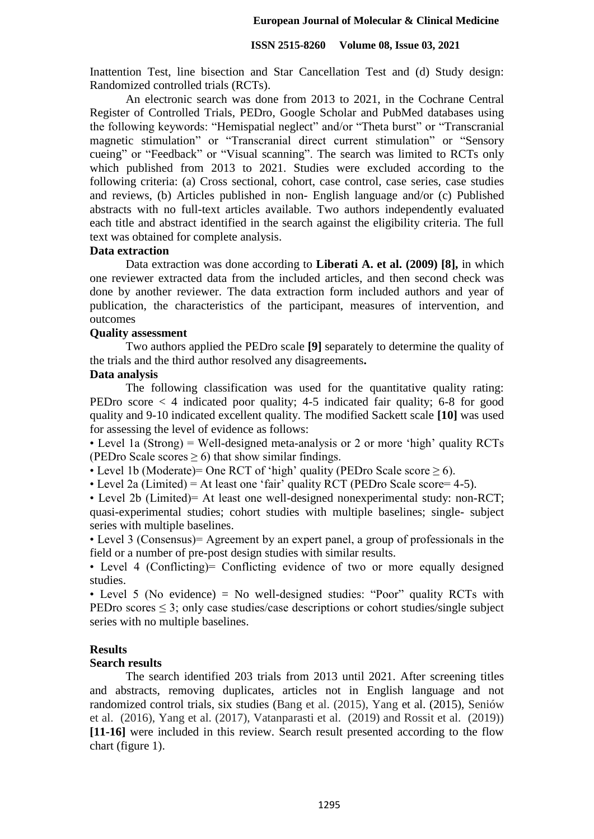Inattention Test, line bisection and Star Cancellation Test and (d) Study design: Randomized controlled trials (RCTs).

An electronic search was done from 2013 to 2021, in the Cochrane Central Register of Controlled Trials, PEDro, Google Scholar and PubMed databases using the following keywords: "Hemispatial neglect" and/or "Theta burst" or "Transcranial magnetic stimulation" or "Transcranial direct current stimulation" or "Sensory cueing" or "Feedback" or "Visual scanning". The search was limited to RCTs only which published from 2013 to 2021. Studies were excluded according to the following criteria: (a) Cross sectional, cohort, case control, case series, case studies and reviews, (b) Articles published in non- English language and/or (c) Published abstracts with no full-text articles available. Two authors independently evaluated each title and abstract identified in the search against the eligibility criteria. The full text was obtained for complete analysis.

#### **Data extraction**

Data extraction was done according to **Liberati A. et al. (2009) [8],** in which one reviewer extracted data from the included articles, and then second check was done by another reviewer. The data extraction form included authors and year of publication, the characteristics of the participant, measures of intervention, and outcomes

## **Quality assessment**

Two authors applied the PEDro scale **[9]** separately to determine the quality of the trials and the third author resolved any disagreements**.**

## **Data analysis**

The following classification was used for the quantitative quality rating: PEDro score < 4 indicated poor quality; 4-5 indicated fair quality; 6-8 for good quality and 9-10 indicated excellent quality. The modified Sackett scale **[10]** was used for assessing the level of evidence as follows:

• Level 1a (Strong) = Well-designed meta-analysis or 2 or more 'high' quality RCTs (PEDro Scale scores  $\geq$  6) that show similar findings.

• Level 1b (Moderate)= One RCT of 'high' quality (PEDro Scale score  $\geq 6$ ).

• Level 2a (Limited) = At least one 'fair' quality RCT (PEDro Scale score= 4-5).

• Level 2b (Limited)= At least one well-designed nonexperimental study: non-RCT; quasi-experimental studies; cohort studies with multiple baselines; single- subject series with multiple baselines.

• Level 3 (Consensus)= Agreement by an expert panel, a group of professionals in the field or a number of pre-post design studies with similar results.

• Level 4 (Conflicting) = Conflicting evidence of two or more equally designed studies.

• Level 5 (No evidence) = No well-designed studies: "Poor" quality RCTs with PEDro scores ≤ 3; only case studies/case descriptions or cohort studies/single subject series with no multiple baselines.

## **Results**

#### **Search results**

The search identified 203 trials from 2013 until 2021. After screening titles and abstracts, removing duplicates, articles not in English language and not randomized control trials, six studies (Bang et al. (2015), Yang et al. (2015), Seniów et al. (2016), Yang et al. (2017), Vatanparasti et al. (2019) and Rossit et al. (2019)) **[11-16]** were included in this review. Search result presented according to the flow chart (figure 1).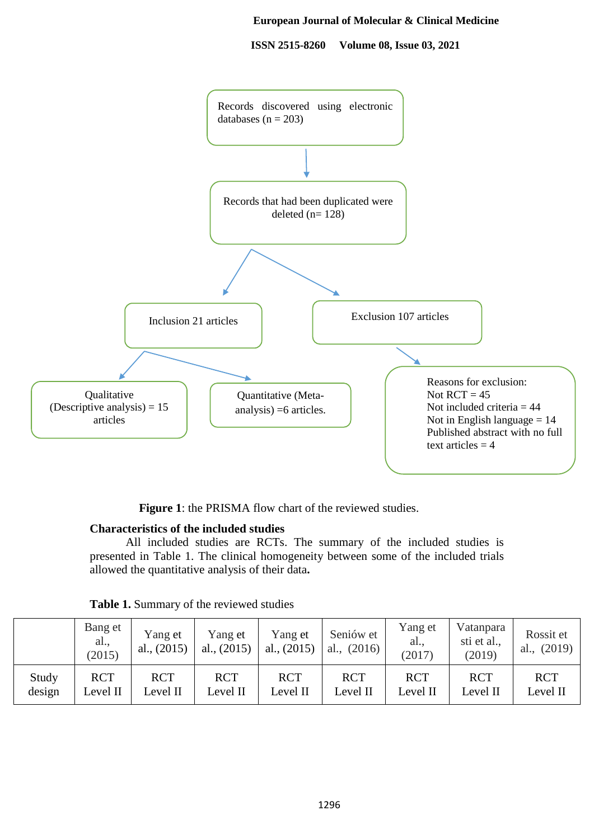**ISSN 2515-8260 Volume 08, Issue 03, 2021**



Figure 1: the PRISMA flow chart of the reviewed studies.

## **Characteristics of the included studies**

All included studies are RCTs. The summary of the included studies is presented in Table 1. The clinical homogeneity between some of the included trials allowed the quantitative analysis of their data**.**

|        | Bang et<br>al.,<br>(2015) | Yang et<br>al., $(2015)$ | Yang et<br>al., $(2015)$ | Yang et<br>al., $(2015)$ | Seniów et<br>(2016)<br>al., | Yang et<br>al.,<br>(2017) | Vatanpara<br>sti et al.,<br>(2019) | Rossit et<br>al., $(2019)$ |
|--------|---------------------------|--------------------------|--------------------------|--------------------------|-----------------------------|---------------------------|------------------------------------|----------------------------|
| Study  | <b>RCT</b>                | <b>RCT</b>               | <b>RCT</b>               | <b>RCT</b>               | <b>RCT</b>                  | <b>RCT</b>                | <b>RCT</b>                         | <b>RCT</b>                 |
| design | Level II                  | Level II                 | Level II                 | Level II                 | Level II                    | Level II                  | Level II                           | Level II                   |

**Table 1.** Summary of the reviewed studies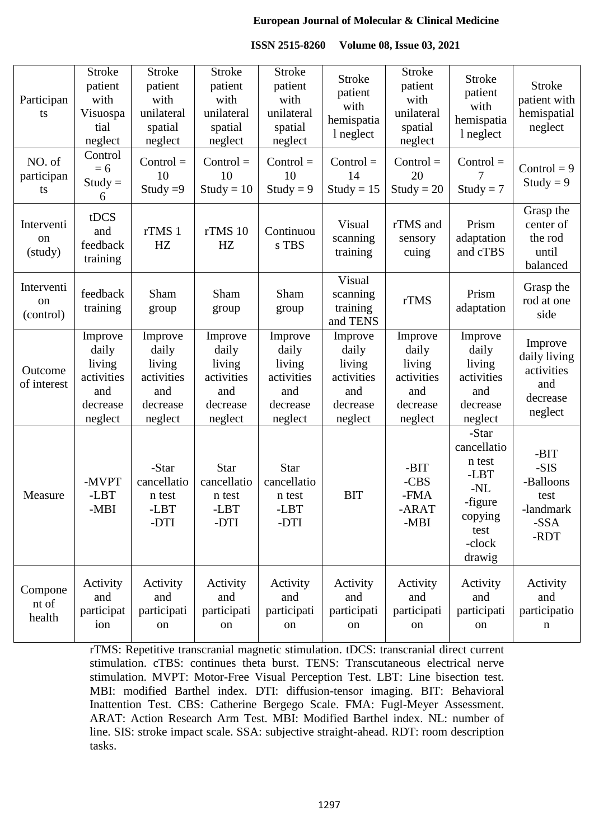| <b>ISSN 2515-8260</b> | <b>Volume 08, Issue 03, 2021</b> |
|-----------------------|----------------------------------|
|-----------------------|----------------------------------|

| Participan<br>ts              | <b>Stroke</b><br>patient<br>with<br>Visuospa<br>tial<br>neglect        | <b>Stroke</b><br>patient<br>with<br>unilateral<br>spatial<br>neglect   | <b>Stroke</b><br>patient<br>with<br>unilateral<br>spatial<br>neglect   | <b>Stroke</b><br>patient<br>with<br>unilateral<br>spatial<br>neglect   | <b>Stroke</b><br>patient<br>with<br>hemispatia<br>l neglect            | <b>Stroke</b><br>patient<br>with<br>unilateral<br>spatial<br>neglect   | <b>Stroke</b><br>patient<br>with<br>hemispatia<br>l neglect                                       | <b>Stroke</b><br>patient with<br>hemispatial<br>neglect             |
|-------------------------------|------------------------------------------------------------------------|------------------------------------------------------------------------|------------------------------------------------------------------------|------------------------------------------------------------------------|------------------------------------------------------------------------|------------------------------------------------------------------------|---------------------------------------------------------------------------------------------------|---------------------------------------------------------------------|
| NO. of<br>participan<br>ts    | Control<br>$= 6$<br>$Study =$<br>6                                     | $Control =$<br>10<br>Study $=9$                                        | $Control =$<br>10<br>$Study = 10$                                      | $Control =$<br>10<br>Study = $9$                                       | $Control =$<br>14<br>$Study = 15$                                      | $Control =$<br>20<br>$Study = 20$                                      | $Control =$<br>$Study = 7$                                                                        | Control = $9$<br>Study = $9$                                        |
| Interventi<br>on<br>(study)   | tDCS<br>and<br>feedback<br>training                                    | rTMS 1<br>HZ                                                           | rTMS 10<br>HZ                                                          | Continuou<br>s TBS                                                     | Visual<br>scanning<br>training                                         | rTMS and<br>sensory<br>cuing                                           | Prism<br>adaptation<br>and cTBS                                                                   | Grasp the<br>center of<br>the rod<br>until<br>balanced              |
| Interventi<br>on<br>(control) | feedback<br>training                                                   | Sham<br>group                                                          | Sham<br>group                                                          | Sham<br>group                                                          | Visual<br>scanning<br>training<br>and TENS                             | rTMS                                                                   | Prism<br>adaptation                                                                               | Grasp the<br>rod at one<br>side                                     |
| Outcome<br>of interest        | Improve<br>daily<br>living<br>activities<br>and<br>decrease<br>neglect | Improve<br>daily<br>living<br>activities<br>and<br>decrease<br>neglect | Improve<br>daily<br>living<br>activities<br>and<br>decrease<br>neglect | Improve<br>daily<br>living<br>activities<br>and<br>decrease<br>neglect | Improve<br>daily<br>living<br>activities<br>and<br>decrease<br>neglect | Improve<br>daily<br>living<br>activities<br>and<br>decrease<br>neglect | Improve<br>daily<br>living<br>activities<br>and<br>decrease<br>neglect                            | Improve<br>daily living<br>activities<br>and<br>decrease<br>neglect |
| Measure                       | -MVPT<br>-LBT<br>-MBI                                                  | -Star<br>cancellatio<br>n test<br>-LBT<br>-DTI                         | <b>Star</b><br>cancellatio<br>n test<br>-LBT<br>-DTI                   | <b>Star</b><br>cancellatio<br>n test<br>-LBT<br>-DTI                   | <b>BIT</b>                                                             | -BIT<br>-CBS<br>-FMA<br>-ARAT<br>-MBI                                  | -Star<br>cancellatio<br>n test<br>-LBT<br>$-NL$<br>-figure<br>copying<br>test<br>-clock<br>drawig | -BIT<br>-SIS<br>-Balloons<br>test<br>-landmark<br>-SSA<br>-RDT      |
| Compone<br>nt of<br>health    | Activity<br>and<br>participat<br>ion                                   | Activity<br>and<br>participati<br>on                                   | Activity<br>and<br>participati<br>on                                   | Activity<br>and<br>participati<br>on                                   | Activity<br>and<br>participati<br>on                                   | Activity<br>and<br>participati<br>on                                   | Activity<br>and<br>participati<br>on                                                              | Activity<br>and<br>participatio<br>n                                |

rTMS: Repetitive transcranial magnetic stimulation. tDCS: transcranial direct current stimulation. cTBS: continues theta burst. TENS: Transcutaneous electrical nerve stimulation. MVPT: Motor-Free Visual Perception Test. LBT: Line bisection test. MBI: modified Barthel index. DTI: diffusion-tensor imaging. BIT: Behavioral Inattention Test. CBS: Catherine Bergego Scale. FMA: Fugl-Meyer Assessment. ARAT: Action Research Arm Test. MBI: Modified Barthel index. NL: number of line. SIS: stroke impact scale. SSA: subjective straight-ahead. RDT: room description tasks.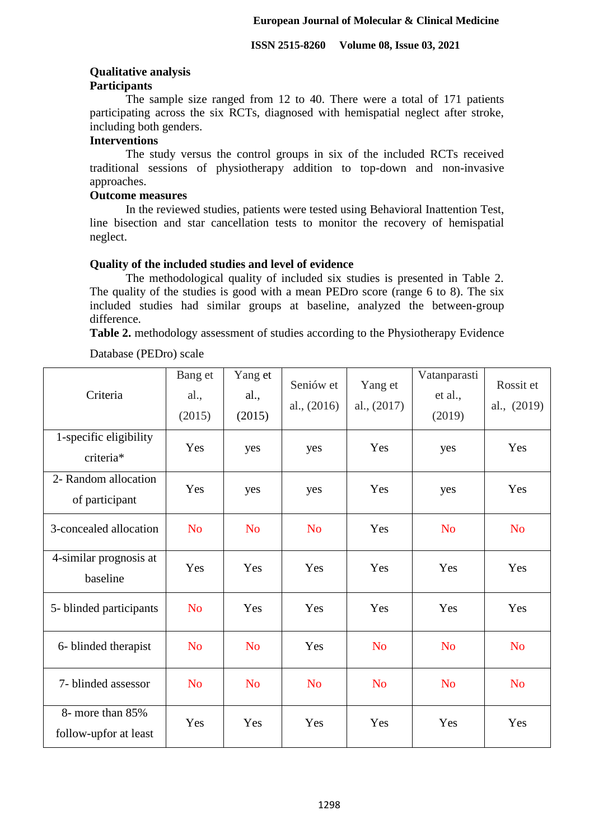# **Qualitative analysis**

# **Participants**

The sample size ranged from 12 to 40. There were a total of 171 patients participating across the six RCTs, diagnosed with hemispatial neglect after stroke, including both genders.

## **Interventions**

The study versus the control groups in six of the included RCTs received traditional sessions of physiotherapy addition to top-down and non-invasive approaches.

# **Outcome measures**

In the reviewed studies, patients were tested using Behavioral Inattention Test, line bisection and star cancellation tests to monitor the recovery of hemispatial neglect.

## **Quality of the included studies and level of evidence**

The methodological quality of included six studies is presented in Table 2. The quality of the studies is good with a mean PEDro score (range 6 to 8). The six included studies had similar groups at baseline, analyzed the between-group difference.

**Table 2.** methodology assessment of studies according to the Physiotherapy Evidence

Database (PEDro) scale

| Criteria                                  | Bang et<br>al.,<br>(2015) | Yang et<br>al.,<br>(2015) | Seniów et<br>al., $(2016)$ | Yang et<br>al., $(2017)$ | Vatanparasti<br>et al.,<br>(2019) | Rossit et<br>al., (2019) |
|-------------------------------------------|---------------------------|---------------------------|----------------------------|--------------------------|-----------------------------------|--------------------------|
| 1-specific eligibility<br>criteria*       | Yes                       | yes                       | yes                        | Yes                      | yes                               | Yes                      |
| 2- Random allocation<br>of participant    | Yes                       | yes                       | yes                        | Yes                      | yes                               | Yes                      |
| 3-concealed allocation                    | <b>No</b>                 | <b>No</b>                 | <b>No</b>                  | Yes                      | <b>No</b>                         | <b>No</b>                |
| 4-similar prognosis at<br>baseline        | Yes                       | Yes                       | Yes                        | Yes                      | Yes                               | Yes                      |
| 5- blinded participants                   | N <sub>o</sub>            | Yes                       | Yes                        | Yes                      | Yes                               | Yes                      |
| 6- blinded therapist                      | N <sub>o</sub>            | <b>No</b>                 | Yes                        | <b>No</b>                | <b>No</b>                         | <b>No</b>                |
| 7- blinded assessor                       | <b>No</b>                 | <b>No</b>                 | N <sub>o</sub>             | N <sub>o</sub>           | N <sub>o</sub>                    | N <sub>o</sub>           |
| 8- more than 85%<br>follow-upfor at least | Yes                       | Yes                       | Yes                        | Yes                      | Yes                               | Yes                      |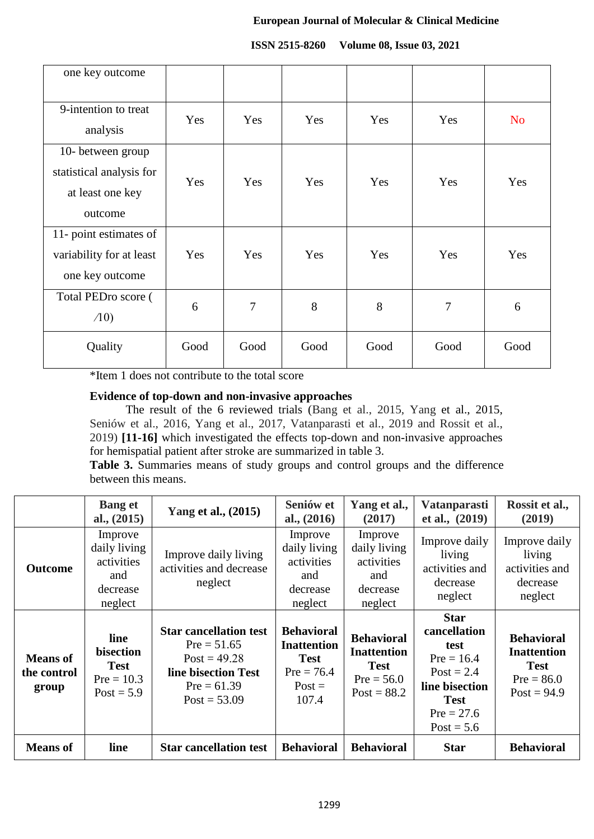| one key outcome                                                              |      |      |      |      |        |                |
|------------------------------------------------------------------------------|------|------|------|------|--------|----------------|
| 9-intention to treat<br>analysis                                             | Yes  | Yes  | Yes  | Yes  | Yes    | N <sub>o</sub> |
| 10- between group<br>statistical analysis for<br>at least one key<br>outcome | Yes  | Yes  | Yes  | Yes  | Yes    | Yes            |
| 11- point estimates of<br>variability for at least<br>one key outcome        | Yes  | Yes  | Yes  | Yes  | Yes    | Yes            |
| Total PEDro score (<br>$\Lambda(0)$                                          | 6    | 7    | 8    | 8    | $\tau$ | 6              |
| Quality                                                                      | Good | Good | Good | Good | Good   | Good           |

#### **ISSN 2515-8260 Volume 08, Issue 03, 2021**

\*Item 1 does not contribute to the total score

## **Evidence of top-down and non-invasive approaches**

The result of the 6 reviewed trials (Bang et al., 2015, Yang et al., 2015, Seniów et al., 2016, Yang et al., 2017, Vatanparasti et al., 2019 and Rossit et al., 2019) **[11-16]** which investigated the effects top-down and non-invasive approaches for hemispatial patient after stroke are summarized in table 3.

**Table 3.** Summaries means of study groups and control groups and the difference between this means.

|                                         | <b>Bang et</b><br>al., $(2015)$                                     | Yang et al., (2015)                                                                                                        | Seniów et<br>al., $(2016)$                                                                  | Yang et al.,<br>(2017)                                                                  | <b>Vatanparasti</b><br>et al., $(2019)$                                                                                              | Rossit et al.,<br>(2019)                                                                |
|-----------------------------------------|---------------------------------------------------------------------|----------------------------------------------------------------------------------------------------------------------------|---------------------------------------------------------------------------------------------|-----------------------------------------------------------------------------------------|--------------------------------------------------------------------------------------------------------------------------------------|-----------------------------------------------------------------------------------------|
| <b>Outcome</b>                          | Improve<br>daily living<br>activities<br>and<br>decrease<br>neglect | Improve daily living<br>activities and decrease<br>neglect                                                                 | Improve<br>daily living<br>activities<br>and<br>decrease<br>neglect                         | Improve<br>daily living<br>activities<br>and<br>decrease<br>neglect                     | Improve daily<br>living<br>activities and<br>decrease<br>neglect                                                                     | Improve daily<br>living<br>activities and<br>decrease<br>neglect                        |
| <b>Means of</b><br>the control<br>group | line<br>bisection<br><b>Test</b><br>$Pre = 10.3$<br>$Post = 5.9$    | <b>Star cancellation test</b><br>$Pre = 51.65$<br>$Post = 49.28$<br>line bisection Test<br>$Pre = 61.39$<br>$Post = 53.09$ | <b>Behavioral</b><br><b>Inattention</b><br><b>Test</b><br>$Pre = 76.4$<br>$Post =$<br>107.4 | <b>Behavioral</b><br><b>Inattention</b><br><b>Test</b><br>$Pre = 56.0$<br>$Post = 88.2$ | <b>Star</b><br>cancellation<br>test<br>$Pre = 16.4$<br>$Post = 2.4$<br>line bisection<br><b>Test</b><br>$Pre = 27.6$<br>$Post = 5.6$ | <b>Behavioral</b><br><b>Inattention</b><br><b>Test</b><br>$Pre = 86.0$<br>$Post = 94.9$ |
| <b>Means</b> of                         | line                                                                | <b>Star cancellation test</b>                                                                                              | <b>Behavioral</b>                                                                           | <b>Behavioral</b>                                                                       | <b>Star</b>                                                                                                                          | <b>Behavioral</b>                                                                       |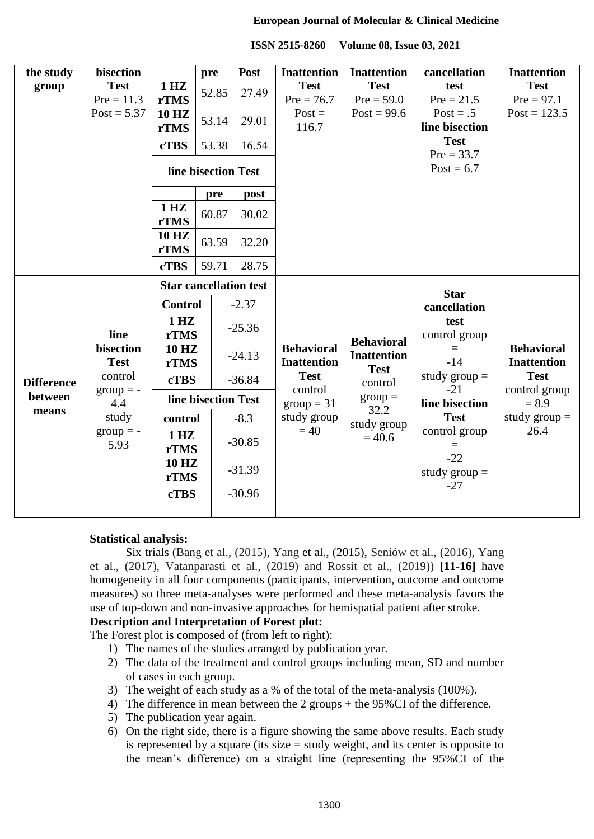| the study         | bisection                        |                               | pre                                     | Post                    | <b>Inattention</b>                      | <b>Inattention</b>                      | cancellation                   | <b>Inattention</b>                      |
|-------------------|----------------------------------|-------------------------------|-----------------------------------------|-------------------------|-----------------------------------------|-----------------------------------------|--------------------------------|-----------------------------------------|
| group             | <b>Test</b><br>$Pre = 11.3$      | 1 HZ<br>rTMS                  | 52.85                                   | 27.49                   | <b>Test</b><br>$Pre = 76.7$             | <b>Test</b><br>$Pre = 59.0$             | test<br>$Pre = 21.5$           | <b>Test</b><br>$Pre = 97.1$             |
|                   | $Post = 5.37$                    | <b>10 HZ</b><br>rTMS          | 53.14                                   | 29.01                   | $Post =$<br>116.7                       | $Post = 99.6$                           | $Post = .5$<br>line bisection  | Post = $123.5$                          |
|                   |                                  | <b>cTBS</b>                   | 53.38                                   | 16.54                   |                                         |                                         | <b>Test</b><br>$Pre = 33.7$    |                                         |
|                   |                                  |                               | line bisection Test                     |                         |                                         |                                         | $Post = 6.7$                   |                                         |
|                   |                                  |                               | pre                                     | post                    |                                         |                                         |                                |                                         |
|                   |                                  | 1 HZ<br>rTMS                  | 60.87                                   | 30.02                   |                                         |                                         |                                |                                         |
|                   |                                  | <b>10 HZ</b><br><b>rTMS</b>   | 63.59                                   | 32.20                   |                                         |                                         |                                |                                         |
|                   |                                  | <b>cTBS</b>                   | 59.71                                   | 28.75                   |                                         |                                         |                                |                                         |
|                   | line<br>bisection<br><b>Test</b> | <b>Star cancellation test</b> |                                         |                         |                                         |                                         | <b>Star</b>                    |                                         |
|                   |                                  | <b>Control</b>                |                                         | $-2.37$                 |                                         | <b>Behavioral</b><br><b>Inattention</b> | cancellation                   |                                         |
|                   |                                  | 1 HZ<br>rTMS                  |                                         | $-25.36$                |                                         |                                         | test<br>control group<br>$-14$ |                                         |
|                   |                                  | <b>10 HZ</b><br><b>rTMS</b>   |                                         | $-24.13$                | <b>Behavioral</b><br><b>Inattention</b> |                                         |                                | <b>Behavioral</b><br><b>Inattention</b> |
| <b>Difference</b> | control<br><b>cTBS</b>           |                               |                                         | $-36.84$                | <b>Test</b>                             | <b>Test</b><br>control                  | study $group =$                | <b>Test</b>                             |
| between           | $group = -$<br>4.4               | line bisection Test           |                                         | control<br>$group = 31$ | $group =$                               | $-21$<br>line bisection                 | control group<br>$= 8.9$       |                                         |
| means             | study                            | control                       |                                         | $-8.3$                  | study group                             | 32.2<br>study group                     | <b>Test</b>                    | study $\text{group} =$                  |
|                   | $group = -$<br>5.93              | 1 HZ<br><b>rTMS</b>           |                                         | $-30.85$                | $=40$                                   | $= 40.6$                                | control group                  | 26.4                                    |
|                   |                                  |                               | <b>10 HZ</b><br>$-31.39$<br><b>rTMS</b> |                         |                                         |                                         | $-22$<br>study $group =$       |                                         |
|                   |                                  | <b>cTBS</b>                   |                                         | $-30.96$                |                                         |                                         | $-27$                          |                                         |

#### **Statistical analysis:**

Six trials (Bang et al., (2015), Yang et al., (2015), Seniów et al., (2016), Yang et al., (2017), Vatanparasti et al., (2019) and Rossit et al., (2019)) **[11-16]** have homogeneity in all four components (participants, intervention, outcome and outcome measures) so three meta-analyses were performed and these meta-analysis favors the use of top-down and non-invasive approaches for hemispatial patient after stroke.

## **Description and Interpretation of Forest plot:**

The Forest plot is composed of (from left to right):

- 1) The names of the studies arranged by publication year.
- 2) The data of the treatment and control groups including mean, SD and number of cases in each group.
- 3) The weight of each study as a % of the total of the meta-analysis (100%).
- 4) The difference in mean between the 2 groups + the 95%CI of the difference.
- 5) The publication year again.
- 6) On the right side, there is a figure showing the same above results. Each study is represented by a square (its size = study weight, and its center is opposite to the mean"s difference) on a straight line (representing the 95%CI of the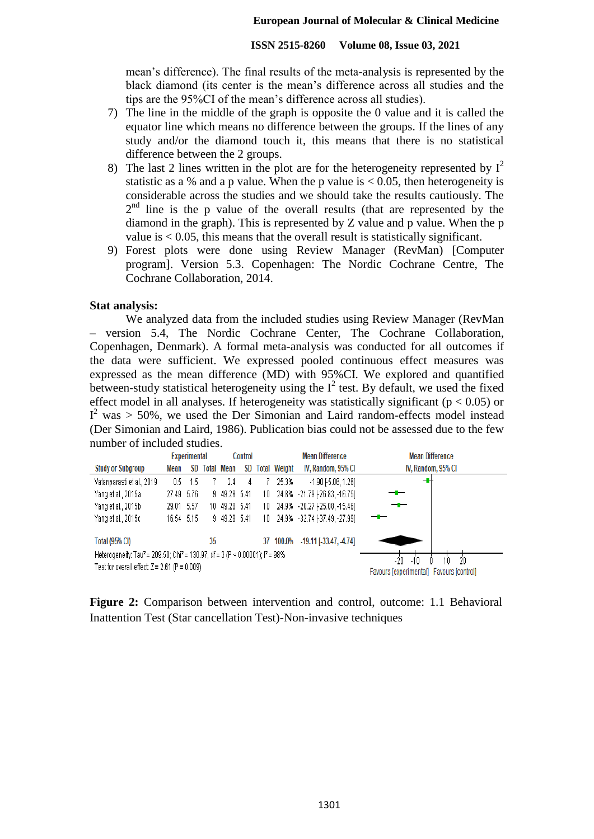mean"s difference). The final results of the meta-analysis is represented by the black diamond (its center is the mean"s difference across all studies and the tips are the 95%CI of the mean"s difference across all studies).

- 7) The line in the middle of the graph is opposite the 0 value and it is called the equator line which means no difference between the groups. If the lines of any study and/or the diamond touch it, this means that there is no statistical difference between the 2 groups.
- 8) The last 2 lines written in the plot are for the heterogeneity represented by  $I^2$ statistic as a % and a p value. When the p value is  $< 0.05$ , then heterogeneity is considerable across the studies and we should take the results cautiously. The  $2<sup>nd</sup>$  line is the p value of the overall results (that are represented by the diamond in the graph). This is represented by Z value and p value. When the p value is < 0.05, this means that the overall result is statistically significant.
- 9) Forest plots were done using Review Manager (RevMan) [Computer program]. Version 5.3. Copenhagen: The Nordic Cochrane Centre, The Cochrane Collaboration, 2014.

## **Stat analysis:**

We analyzed data from the included studies using Review Manager (RevMan – version 5.4, The Nordic Cochrane Center, The Cochrane Collaboration, Copenhagen, Denmark). A formal meta-analysis was conducted for all outcomes if the data were sufficient. We expressed pooled continuous effect measures was expressed as the mean difference (MD) with 95%CI. We explored and quantified between-study statistical heterogeneity using the  $I^2$  test. By default, we used the fixed effect model in all analyses. If heterogeneity was statistically significant ( $p < 0.05$ ) or  $I^2$  was  $> 50\%$ , we used the Der Simonian and Laird random-effects model instead (Der Simonian and Laird, 1986). Publication bias could not be assessed due to the few number of included studies.

|                                                                                                    |            | <b>Experimental</b> |    |                   | <b>Mean Difference</b><br>Control |     |                     | <b>Mean Difference</b>                   |                    |
|----------------------------------------------------------------------------------------------------|------------|---------------------|----|-------------------|-----------------------------------|-----|---------------------|------------------------------------------|--------------------|
| <b>Study or Subgroup</b>                                                                           | Mean       | SD                  |    | <b>Total Mean</b> | SD                                |     | <b>Total Weight</b> | IV, Random, 95% CI                       | IV, Random, 95% CI |
| Vatanparasti et al., 2019                                                                          | 0.5        | -1.5                |    | 2.4               | 4                                 |     | 25.3%               | $-1.90$ [ $-5.06$ , $1.26$ ]             | -0                 |
| Yang et al., 2015a                                                                                 | 27.49 5.76 |                     |    | 9 49.28 5.41      |                                   | 10. |                     | 24.8% - 21.79 [-26.83, -16.75]           |                    |
| Yang et al., 2015b                                                                                 | 29.01 5.57 |                     |    | 10 49.28 5.41     |                                   |     |                     | 10 24.9% -20.27 [-25.08, -15.46]         |                    |
| Yang et al., 2015c                                                                                 | 16.54 5.15 |                     |    | 9 49.28 5.41      |                                   | 10. |                     | 24.9% -32.74 [-37.49, -27.99]            |                    |
| <b>Total (95% CI)</b>                                                                              |            |                     | 35 |                   |                                   |     | 37 100.0%           | $-19.11$ [ $-33.47$ , $-4.74$ ]          |                    |
| Heterogeneity: Tau <sup>2</sup> = 209.50; Chi <sup>2</sup> = 130.97, df = 3 (P < 0.00001); P = 98% |            |                     |    |                   |                                   |     |                     | 20<br>-20<br>10                          |                    |
| Test for overall effect: $Z = 2.61$ (P = 0.009)                                                    |            |                     |    |                   |                                   |     |                     | Favours lexperimentall Favours lcontroll |                    |

**Figure 2:** Comparison between intervention and control, outcome: 1.1 Behavioral Inattention Test (Star cancellation Test)-Non-invasive techniques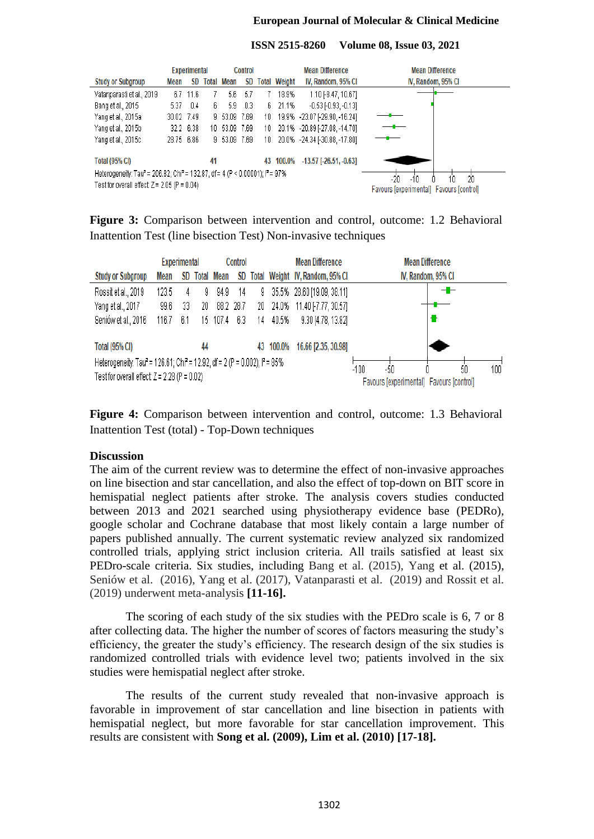| ISSN 2515-8260 Volume 08, Issue 03, 2021 |  |  |  |
|------------------------------------------|--|--|--|
|------------------------------------------|--|--|--|



**Figure 3:** Comparison between intervention and control, outcome: 1.2 Behavioral Inattention Test (line bisection Test) Non-invasive techniques

|                                                                                                                                                                |       | <b>Experimental</b> |    |               | Control |    |           | <b>Mean Difference</b>                                                 | <b>Mean Difference</b> |
|----------------------------------------------------------------------------------------------------------------------------------------------------------------|-------|---------------------|----|---------------|---------|----|-----------|------------------------------------------------------------------------|------------------------|
| <b>Study or Subgroup</b>                                                                                                                                       | Mean  |                     |    | SD Total Mean |         |    |           | SD Total Weight IV, Random, 95% CI                                     | IV, Random, 95% CI     |
| Rossitet al., 2019                                                                                                                                             | 123.5 | 4                   | 9  | 94.9          | 14      | 9. |           | 35.5% 28.60 [19.09, 38.11]                                             | -1-                    |
| Yang et al., 2017                                                                                                                                              | 99.6  | 33                  | 20 | 88.2 28.7     |         |    |           | 20 24.0% 11.40 [-7.77, 30.57]                                          |                        |
| Seniów et al., 2016                                                                                                                                            | 116.7 | 6.1                 |    | 15 107.4      | -6.3    | 14 | 40.5%     | 9.30 [4.78, 13.82]                                                     |                        |
| <b>Total (95% CI)</b>                                                                                                                                          |       |                     | 44 |               |         |    | 43 100.0% | 16.66 [2.35, 30.98]                                                    |                        |
| Heterogeneity: Tau <sup>2</sup> = 126.61; Chi <sup>2</sup> = 12.92, df = 2 (P = 0.002); l <sup>2</sup> = 85%<br>Test for overall effect: $Z = 2.28$ (P = 0.02) |       |                     |    |               |         |    |           | $-100$<br>100<br>-50<br>50<br>Favours [experimental] Favours [control] |                        |

**Figure 4:** Comparison between intervention and control, outcome: 1.3 Behavioral Inattention Test (total) - Top-Down techniques

#### **Discussion**

The aim of the current review was to determine the effect of non-invasive approaches on line bisection and star cancellation, and also the effect of top-down on BIT score in hemispatial neglect patients after stroke. The analysis covers studies conducted between 2013 and 2021 searched using physiotherapy evidence base (PEDRo), google scholar and Cochrane database that most likely contain a large number of papers published annually. The current systematic review analyzed six randomized controlled trials, applying strict inclusion criteria. All trails satisfied at least six PEDro-scale criteria. Six studies, including Bang et al. (2015), Yang et al. (2015), Seniów et al. (2016), Yang et al. (2017), Vatanparasti et al. (2019) and Rossit et al. (2019) underwent meta-analysis **[11-16].**

The scoring of each study of the six studies with the PEDro scale is 6, 7 or 8 after collecting data. The higher the number of scores of factors measuring the study"s efficiency, the greater the study"s efficiency. The research design of the six studies is randomized controlled trials with evidence level two; patients involved in the six studies were hemispatial neglect after stroke.

The results of the current study revealed that non-invasive approach is favorable in improvement of star cancellation and line bisection in patients with hemispatial neglect, but more favorable for star cancellation improvement. This results are consistent with **Song et al. (2009), Lim et al. (2010) [17-18].**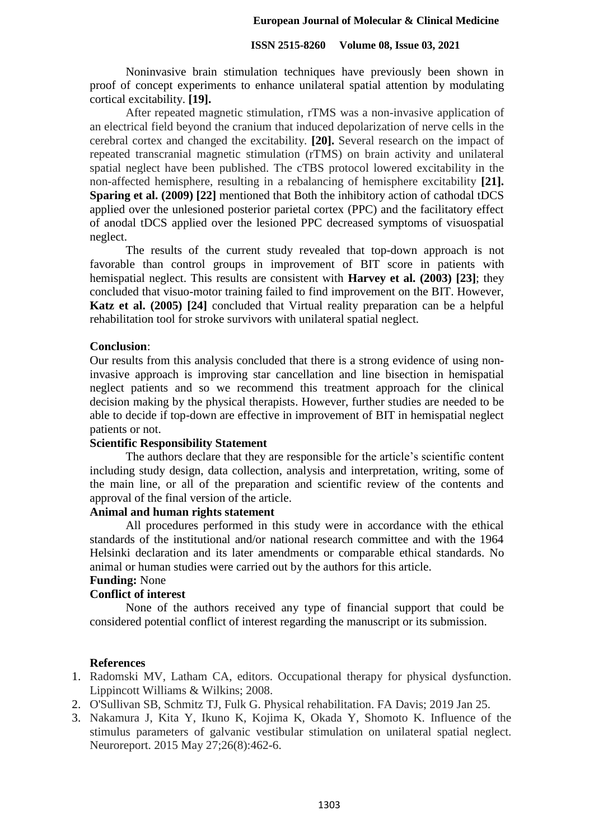#### **ISSN 2515-8260 Volume 08, Issue 03, 2021**

Noninvasive brain stimulation techniques have previously been shown in proof of concept experiments to enhance unilateral spatial attention by modulating cortical excitability. **[19].**

After repeated magnetic stimulation, rTMS was a non-invasive application of an electrical field beyond the cranium that induced depolarization of nerve cells in the cerebral cortex and changed the excitability. **[20].** Several research on the impact of repeated transcranial magnetic stimulation (rTMS) on brain activity and unilateral spatial neglect have been published. The cTBS protocol lowered excitability in the non-affected hemisphere, resulting in a rebalancing of hemisphere excitability **[21]. Sparing et al. (2009) [22]** mentioned that Both the inhibitory action of cathodal tDCS applied over the unlesioned posterior parietal cortex (PPC) and the facilitatory effect of anodal tDCS applied over the lesioned PPC decreased symptoms of visuospatial neglect.

The results of the current study revealed that top-down approach is not favorable than control groups in improvement of BIT score in patients with hemispatial neglect. This results are consistent with **Harvey et al. (2003) [23]**; they concluded that visuo-motor training failed to find improvement on the BIT. However, **Katz et al. (2005) [24]** concluded that Virtual reality preparation can be a helpful rehabilitation tool for stroke survivors with unilateral spatial neglect.

## **Conclusion**:

Our results from this analysis concluded that there is a strong evidence of using noninvasive approach is improving star cancellation and line bisection in hemispatial neglect patients and so we recommend this treatment approach for the clinical decision making by the physical therapists. However, further studies are needed to be able to decide if top-down are effective in improvement of BIT in hemispatial neglect patients or not.

## **Scientific Responsibility Statement**

The authors declare that they are responsible for the article"s scientific content including study design, data collection, analysis and interpretation, writing, some of the main line, or all of the preparation and scientific review of the contents and approval of the final version of the article.

#### **Animal and human rights statement**

All procedures performed in this study were in accordance with the ethical standards of the institutional and/or national research committee and with the 1964 Helsinki declaration and its later amendments or comparable ethical standards. No animal or human studies were carried out by the authors for this article.

# **Funding:** None

# **Conflict of interest**

None of the authors received any type of financial support that could be considered potential conflict of interest regarding the manuscript or its submission.

#### **References**

- 1. Radomski MV, Latham CA, editors. Occupational therapy for physical dysfunction. Lippincott Williams & Wilkins; 2008.
- 2. O'Sullivan SB, Schmitz TJ, Fulk G. Physical rehabilitation. FA Davis; 2019 Jan 25.
- 3. Nakamura J, Kita Y, Ikuno K, Kojima K, Okada Y, Shomoto K. Influence of the stimulus parameters of galvanic vestibular stimulation on unilateral spatial neglect. Neuroreport. 2015 May 27;26(8):462-6.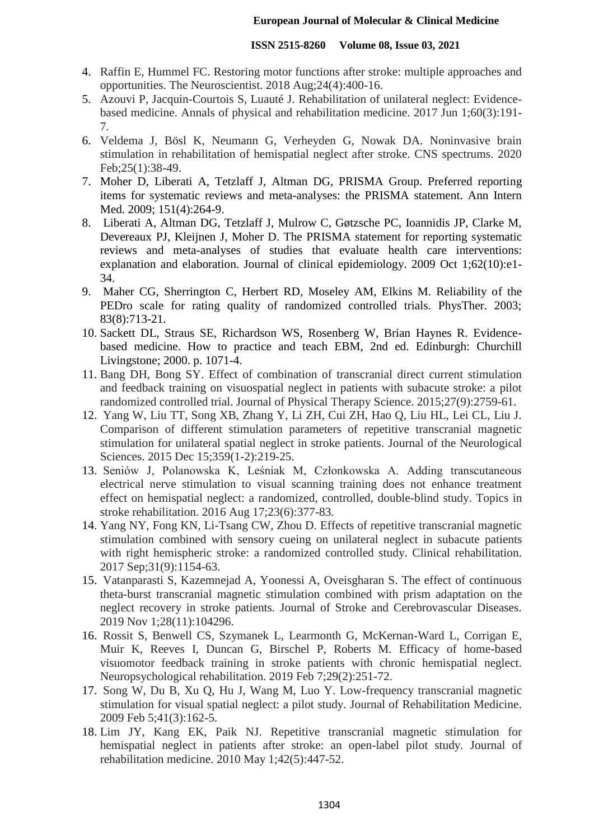- 4. Raffin E, Hummel FC. Restoring motor functions after stroke: multiple approaches and opportunities. The Neuroscientist. 2018 Aug;24(4):400-16.
- 5. Azouvi P, Jacquin-Courtois S, Luauté J. Rehabilitation of unilateral neglect: Evidencebased medicine. Annals of physical and rehabilitation medicine. 2017 Jun 1;60(3):191- 7.
- 6. Veldema J, Bösl K, Neumann G, Verheyden G, Nowak DA. Noninvasive brain stimulation in rehabilitation of hemispatial neglect after stroke. CNS spectrums. 2020 Feb;25(1):38-49.
- 7. Moher D, Liberati A, Tetzlaff J, Altman DG, PRISMA Group. Preferred reporting items for systematic reviews and meta-analyses: the PRISMA statement. Ann Intern Med. 2009; 151(4):264-9.
- 8. Liberati A, Altman DG, Tetzlaff J, Mulrow C, Gøtzsche PC, Ioannidis JP, Clarke M, Devereaux PJ, Kleijnen J, Moher D. The PRISMA statement for reporting systematic reviews and meta-analyses of studies that evaluate health care interventions: explanation and elaboration. Journal of clinical epidemiology. 2009 Oct 1;62(10):e1- 34.
- 9. Maher CG, Sherrington C, Herbert RD, Moseley AM, Elkins M. Reliability of the PEDro scale for rating quality of randomized controlled trials. PhysTher. 2003; 83(8):713-21.
- 10. Sackett DL, Straus SE, Richardson WS, Rosenberg W, Brian Haynes R. Evidencebased medicine. How to practice and teach EBM, 2nd ed. Edinburgh: Churchill Livingstone; 2000. p. 1071-4.
- 11. Bang DH, Bong SY. Effect of combination of transcranial direct current stimulation and feedback training on visuospatial neglect in patients with subacute stroke: a pilot randomized controlled trial. Journal of Physical Therapy Science. 2015;27(9):2759-61.
- 12. Yang W, Liu TT, Song XB, Zhang Y, Li ZH, Cui ZH, Hao Q, Liu HL, Lei CL, Liu J. Comparison of different stimulation parameters of repetitive transcranial magnetic stimulation for unilateral spatial neglect in stroke patients. Journal of the Neurological Sciences. 2015 Dec 15;359(1-2):219-25.
- 13. Seniów J, Polanowska K, Leśniak M, Członkowska A. Adding transcutaneous electrical nerve stimulation to visual scanning training does not enhance treatment effect on hemispatial neglect: a randomized, controlled, double-blind study. Topics in stroke rehabilitation. 2016 Aug 17;23(6):377-83.
- 14. Yang NY, Fong KN, Li-Tsang CW, Zhou D. Effects of repetitive transcranial magnetic stimulation combined with sensory cueing on unilateral neglect in subacute patients with right hemispheric stroke: a randomized controlled study. Clinical rehabilitation. 2017 Sep;31(9):1154-63.
- 15. Vatanparasti S, Kazemnejad A, Yoonessi A, Oveisgharan S. The effect of continuous theta-burst transcranial magnetic stimulation combined with prism adaptation on the neglect recovery in stroke patients. Journal of Stroke and Cerebrovascular Diseases. 2019 Nov 1;28(11):104296.
- 16. Rossit S, Benwell CS, Szymanek L, Learmonth G, McKernan-Ward L, Corrigan E, Muir K, Reeves I, Duncan G, Birschel P, Roberts M. Efficacy of home-based visuomotor feedback training in stroke patients with chronic hemispatial neglect. Neuropsychological rehabilitation. 2019 Feb 7;29(2):251-72.
- 17. Song W, Du B, Xu Q, Hu J, Wang M, Luo Y. Low-frequency transcranial magnetic stimulation for visual spatial neglect: a pilot study. Journal of Rehabilitation Medicine. 2009 Feb 5;41(3):162-5.
- 18. Lim JY, Kang EK, Paik NJ. Repetitive transcranial magnetic stimulation for hemispatial neglect in patients after stroke: an open-label pilot study. Journal of rehabilitation medicine. 2010 May 1;42(5):447-52.